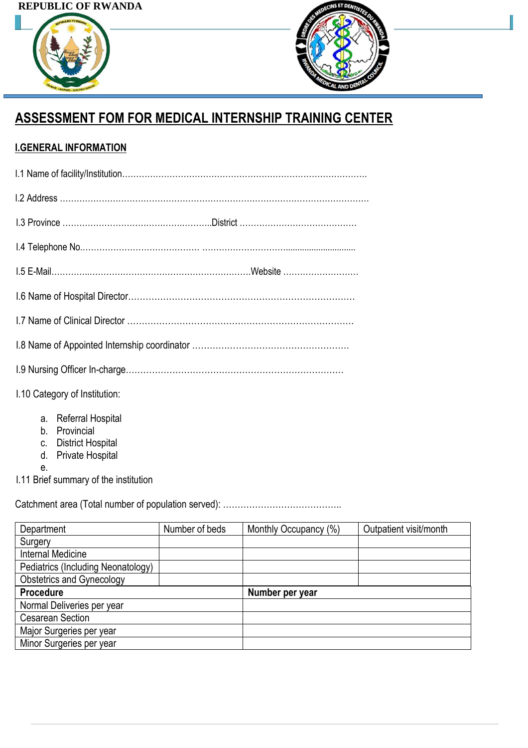## **REPUBLIC OF RWANDA**





# **ASSESSMENT FOM FOR MEDICAL INTERNSHIP TRAINING CENTER**

# **I.GENERAL INFORMATION**

| 1.10 Category of Institution: |  |
|-------------------------------|--|

- a. Referral Hospital
- b. Provincial
- c. District Hospital
- d. Private Hospital
- e.

I.11 Brief summary of the institution

Catchment area (Total number of population served): …………………………………..

| Department                         | Number of beds | Monthly Occupancy (%) | Outpatient visit/month |
|------------------------------------|----------------|-----------------------|------------------------|
| Surgery                            |                |                       |                        |
| Internal Medicine                  |                |                       |                        |
| Pediatrics (Including Neonatology) |                |                       |                        |
| <b>Obstetrics and Gynecology</b>   |                |                       |                        |
| <b>Procedure</b>                   |                | Number per year       |                        |
| Normal Deliveries per year         |                |                       |                        |
| <b>Cesarean Section</b>            |                |                       |                        |
| Major Surgeries per year           |                |                       |                        |
| Minor Surgeries per year           |                |                       |                        |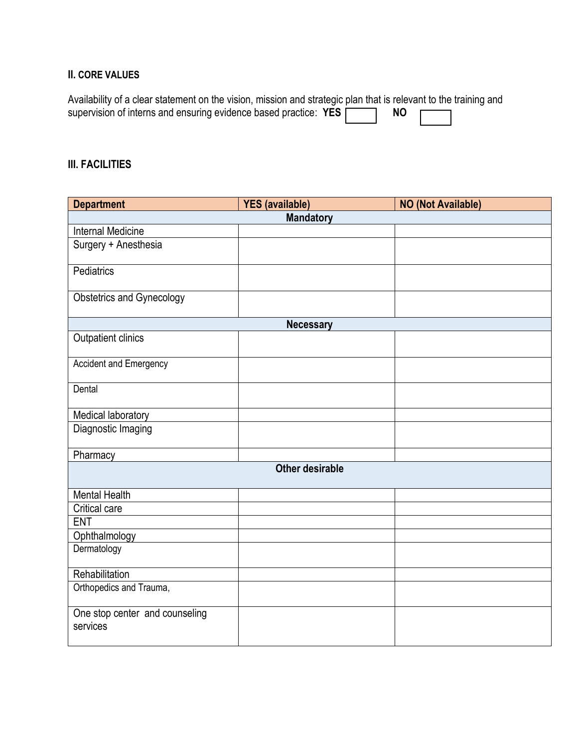#### **II. CORE VALUES**

| Availability of a clear statement on the vision, mission and strategic plan that is relevant to the training and |      |  |
|------------------------------------------------------------------------------------------------------------------|------|--|
| supervision of interns and ensuring evidence based practice: YES [                                               | NO 1 |  |

#### **III. FACILITIES**

| <b>Department</b>                          | <b>YES</b> (available) | <b>NO (Not Available)</b> |  |  |
|--------------------------------------------|------------------------|---------------------------|--|--|
|                                            | <b>Mandatory</b>       |                           |  |  |
| <b>Internal Medicine</b>                   |                        |                           |  |  |
| Surgery + Anesthesia                       |                        |                           |  |  |
| Pediatrics                                 |                        |                           |  |  |
| <b>Obstetrics and Gynecology</b>           |                        |                           |  |  |
|                                            | <b>Necessary</b>       |                           |  |  |
| Outpatient clinics                         |                        |                           |  |  |
| Accident and Emergency                     |                        |                           |  |  |
| Dental                                     |                        |                           |  |  |
| Medical laboratory                         |                        |                           |  |  |
| Diagnostic Imaging                         |                        |                           |  |  |
| Pharmacy                                   |                        |                           |  |  |
| <b>Other desirable</b>                     |                        |                           |  |  |
| <b>Mental Health</b>                       |                        |                           |  |  |
| Critical care                              |                        |                           |  |  |
| <b>ENT</b>                                 |                        |                           |  |  |
| Ophthalmology                              |                        |                           |  |  |
| Dermatology                                |                        |                           |  |  |
| Rehabilitation                             |                        |                           |  |  |
| Orthopedics and Trauma,                    |                        |                           |  |  |
| One stop center and counseling<br>services |                        |                           |  |  |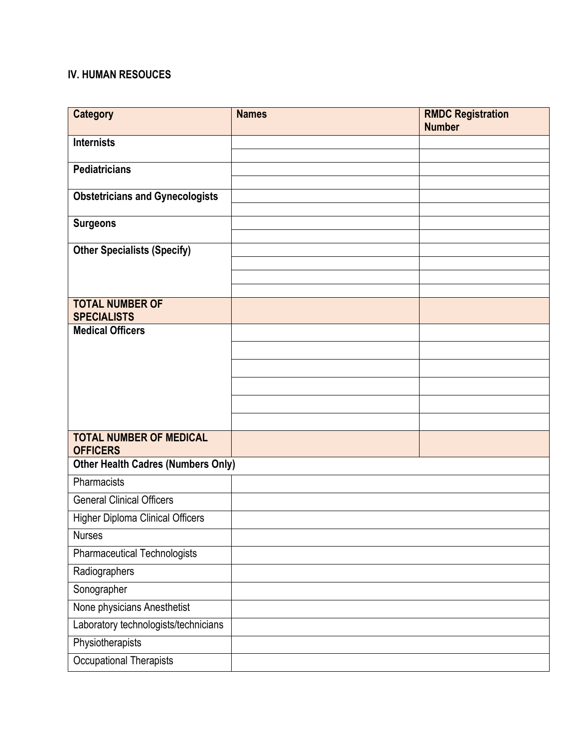#### **IV. HUMAN RESOUCES**

| <b>Category</b>                                   | <b>Names</b> | <b>RMDC Registration</b><br><b>Number</b> |
|---------------------------------------------------|--------------|-------------------------------------------|
| <b>Internists</b>                                 |              |                                           |
| <b>Pediatricians</b>                              |              |                                           |
| <b>Obstetricians and Gynecologists</b>            |              |                                           |
| <b>Surgeons</b>                                   |              |                                           |
| <b>Other Specialists (Specify)</b>                |              |                                           |
|                                                   |              |                                           |
| <b>TOTAL NUMBER OF</b><br><b>SPECIALISTS</b>      |              |                                           |
| <b>Medical Officers</b>                           |              |                                           |
|                                                   |              |                                           |
|                                                   |              |                                           |
|                                                   |              |                                           |
|                                                   |              |                                           |
|                                                   |              |                                           |
| <b>TOTAL NUMBER OF MEDICAL</b><br><b>OFFICERS</b> |              |                                           |
| <b>Other Health Cadres (Numbers Only)</b>         |              |                                           |
| Pharmacists                                       |              |                                           |
| <b>General Clinical Officers</b>                  |              |                                           |
| <b>Higher Diploma Clinical Officers</b>           |              |                                           |
| <b>Nurses</b>                                     |              |                                           |
| <b>Pharmaceutical Technologists</b>               |              |                                           |
| Radiographers                                     |              |                                           |
| Sonographer                                       |              |                                           |
| None physicians Anesthetist                       |              |                                           |
| Laboratory technologists/technicians              |              |                                           |
| Physiotherapists                                  |              |                                           |
| Occupational Therapists                           |              |                                           |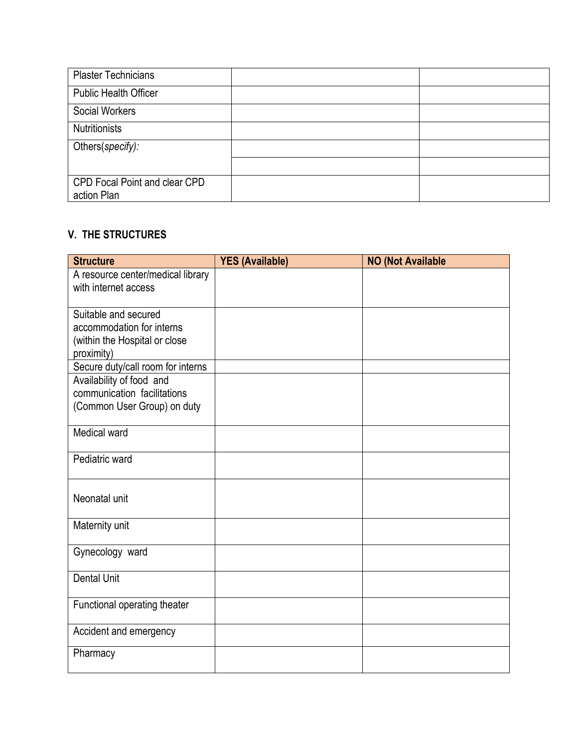| <b>Plaster Technicians</b>                          |  |
|-----------------------------------------------------|--|
| <b>Public Health Officer</b>                        |  |
| <b>Social Workers</b>                               |  |
| <b>Nutritionists</b>                                |  |
| Others(specify):                                    |  |
|                                                     |  |
| <b>CPD Focal Point and clear CPD</b><br>action Plan |  |

## **V. THE STRUCTURES**

| <b>Structure</b>                                                                                                            | <b>YES (Available)</b> | <b>NO (Not Available</b> |
|-----------------------------------------------------------------------------------------------------------------------------|------------------------|--------------------------|
| A resource center/medical library<br>with internet access                                                                   |                        |                          |
| Suitable and secured<br>accommodation for interns<br>(within the Hospital or close<br>proximity)                            |                        |                          |
| Secure duty/call room for interns<br>Availability of food and<br>communication facilitations<br>(Common User Group) on duty |                        |                          |
| Medical ward                                                                                                                |                        |                          |
| Pediatric ward                                                                                                              |                        |                          |
| Neonatal unit                                                                                                               |                        |                          |
| Maternity unit                                                                                                              |                        |                          |
| Gynecology ward                                                                                                             |                        |                          |
| <b>Dental Unit</b>                                                                                                          |                        |                          |
| Functional operating theater                                                                                                |                        |                          |
| Accident and emergency                                                                                                      |                        |                          |
| Pharmacy                                                                                                                    |                        |                          |